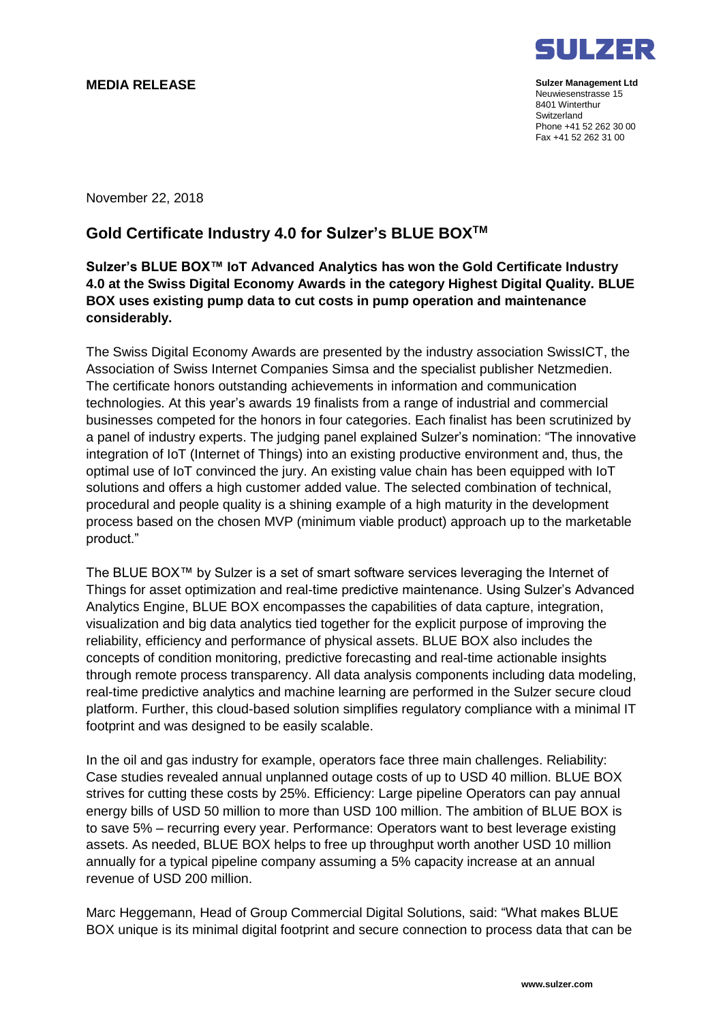## **MEDIA RELEASE**



**Sulzer Management Ltd** Neuwiesenstrasse 15 8401 Winterthur **Switzerland** Phone +41 52 262 30 00 Fax +41 52 262 31 00

November 22, 2018

## **Gold Certificate Industry 4.0 for Sulzer's BLUE BOXTM**

## **Sulzer's BLUE BOX™ IoT Advanced Analytics has won the Gold Certificate Industry 4.0 at the Swiss Digital Economy Awards in the category Highest Digital Quality. BLUE BOX uses existing pump data to cut costs in pump operation and maintenance considerably.**

The Swiss Digital Economy Awards are presented by the industry association SwissICT, the Association of Swiss Internet Companies Simsa and the specialist publisher Netzmedien. The certificate honors outstanding achievements in information and communication technologies. At this year's awards 19 finalists from a range of industrial and commercial businesses competed for the honors in four categories. Each finalist has been scrutinized by a panel of industry experts. The judging panel explained Sulzer's nomination: "The innovative integration of IoT (Internet of Things) into an existing productive environment and, thus, the optimal use of IoT convinced the jury. An existing value chain has been equipped with IoT solutions and offers a high customer added value. The selected combination of technical, procedural and people quality is a shining example of a high maturity in the development process based on the chosen MVP (minimum viable product) approach up to the marketable product."

The BLUE BOX™ by Sulzer is a set of smart software services leveraging the Internet of Things for asset optimization and real-time predictive maintenance. Using Sulzer's Advanced Analytics Engine, BLUE BOX encompasses the capabilities of data capture, integration, visualization and big data analytics tied together for the explicit purpose of improving the reliability, efficiency and performance of physical assets. BLUE BOX also includes the concepts of condition monitoring, predictive forecasting and real-time actionable insights through remote process transparency. All data analysis components including data modeling, real-time predictive analytics and machine learning are performed in the Sulzer secure cloud platform. Further, this cloud-based solution simplifies regulatory compliance with a minimal IT footprint and was designed to be easily scalable.

In the oil and gas industry for example, operators face three main challenges. Reliability: Case studies revealed annual unplanned outage costs of up to USD 40 million. BLUE BOX strives for cutting these costs by 25%. Efficiency: Large pipeline Operators can pay annual energy bills of USD 50 million to more than USD 100 million. The ambition of BLUE BOX is to save 5% – recurring every year. Performance: Operators want to best leverage existing assets. As needed, BLUE BOX helps to free up throughput worth another USD 10 million annually for a typical pipeline company assuming a 5% capacity increase at an annual revenue of USD 200 million.

Marc Heggemann, Head of Group Commercial Digital Solutions, said: "What makes BLUE BOX unique is its minimal digital footprint and secure connection to process data that can be